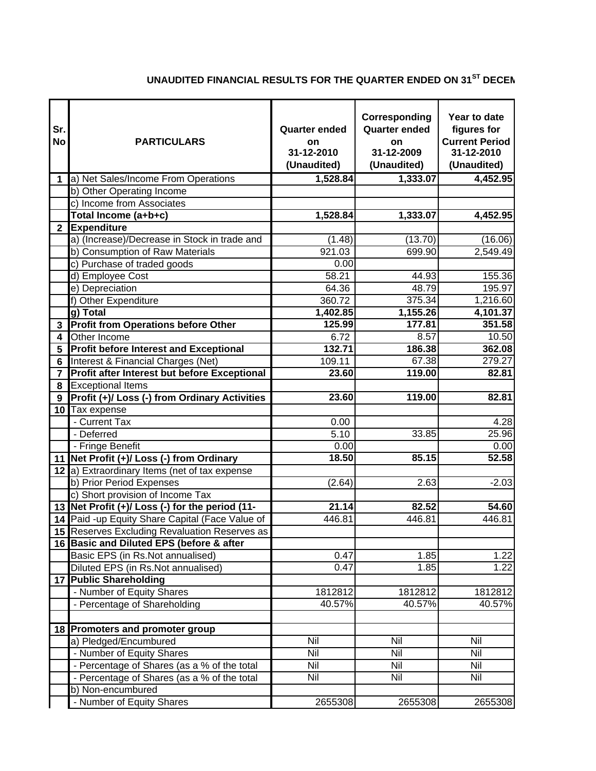## **UNAUDITED FINANCIAL RESULTS FOR THE QUARTER ENDED ON 31ST DECEM**

| Sr.<br><b>No</b> | <b>PARTICULARS</b>                              | <b>Quarter ended</b><br><b>on</b><br>31-12-2010<br>(Unaudited) | Corresponding<br><b>Quarter ended</b><br>on<br>31-12-2009<br>(Unaudited) | Year to date<br>figures for<br><b>Current Period</b><br>31-12-2010<br>(Unaudited) |
|------------------|-------------------------------------------------|----------------------------------------------------------------|--------------------------------------------------------------------------|-----------------------------------------------------------------------------------|
| $\mathbf 1$      | a) Net Sales/Income From Operations             | 1,528.84                                                       | 1,333.07                                                                 | 4,452.95                                                                          |
|                  | b) Other Operating Income                       |                                                                |                                                                          |                                                                                   |
|                  | c) Income from Associates                       |                                                                |                                                                          |                                                                                   |
|                  | Total Income (a+b+c)                            | 1,528.84                                                       | 1,333.07                                                                 | 4,452.95                                                                          |
| $\mathbf{2}$     | <b>Expenditure</b>                              |                                                                |                                                                          |                                                                                   |
|                  | a) (Increase)/Decrease in Stock in trade and    | (1.48)                                                         | (13.70)                                                                  | (16.06)                                                                           |
|                  | b) Consumption of Raw Materials                 | 921.03                                                         | 699.90                                                                   | 2,549.49                                                                          |
|                  | c) Purchase of traded goods                     | 0.00                                                           |                                                                          |                                                                                   |
|                  | d) Employee Cost                                | 58.21                                                          | 44.93                                                                    | 155.36                                                                            |
|                  | e) Depreciation                                 | 64.36                                                          | 48.79                                                                    | 195.97                                                                            |
|                  | f) Other Expenditure                            | 360.72                                                         | 375.34                                                                   | 1,216.60                                                                          |
|                  | g) Total                                        | 1,402.85                                                       | 1,155.26                                                                 | 4,101.37                                                                          |
|                  | 3 Profit from Operations before Other           | 125.99                                                         | 177.81                                                                   | 351.58                                                                            |
| 4                | Other Income                                    | 6.72                                                           | 8.57                                                                     | 10.50                                                                             |
| 5                | <b>Profit before Interest and Exceptional</b>   | 132.71                                                         | 186.38                                                                   | 362.08                                                                            |
| 6                | Interest & Financial Charges (Net)              | 109.11                                                         | 67.38                                                                    | 279.27                                                                            |
| $\overline{7}$   | Profit after Interest but before Exceptional    | 23.60                                                          | 119.00                                                                   | 82.81                                                                             |
| 8                | <b>Exceptional Items</b>                        |                                                                |                                                                          |                                                                                   |
| 9                | Profit (+)/ Loss (-) from Ordinary Activities   | 23.60                                                          | 119.00                                                                   | 82.81                                                                             |
|                  | 10 Tax expense                                  |                                                                |                                                                          |                                                                                   |
|                  | - Current Tax                                   | 0.00                                                           |                                                                          | 4.28                                                                              |
|                  | - Deferred                                      | 5.10                                                           | 33.85                                                                    | 25.96                                                                             |
|                  | - Fringe Benefit                                | 0.00                                                           |                                                                          | 0.00                                                                              |
|                  | 11 Net Profit (+)/ Loss (-) from Ordinary       | 18.50                                                          | 85.15                                                                    | 52.58                                                                             |
|                  | 12 a) Extraordinary Items (net of tax expense   |                                                                |                                                                          |                                                                                   |
|                  | b) Prior Period Expenses                        | (2.64)                                                         | 2.63                                                                     | $-2.03$                                                                           |
|                  | c) Short provision of Income Tax                |                                                                |                                                                          |                                                                                   |
|                  | 13 Net Profit (+)/ Loss (-) for the period (11- | 21.14                                                          | 82.52                                                                    | 54.60                                                                             |
|                  | 14 Paid -up Equity Share Capital (Face Value of | 446.81                                                         | 446.81                                                                   | 446.81                                                                            |
|                  | 15 Reserves Excluding Revaluation Reserves as   |                                                                |                                                                          |                                                                                   |
|                  | 16 Basic and Diluted EPS (before & after        |                                                                |                                                                          |                                                                                   |
|                  | Basic EPS (in Rs.Not annualised)                | 0.47                                                           | 1.85                                                                     | 1.22                                                                              |
|                  | Diluted EPS (in Rs.Not annualised)              | 0.47                                                           | 1.85                                                                     | 1.22                                                                              |
|                  | 17 Public Shareholding                          |                                                                |                                                                          |                                                                                   |
|                  | - Number of Equity Shares                       | 1812812                                                        | 1812812                                                                  | 1812812                                                                           |
|                  | - Percentage of Shareholding                    | 40.57%                                                         | 40.57%                                                                   | 40.57%                                                                            |
|                  |                                                 |                                                                |                                                                          |                                                                                   |
|                  | 18 Promoters and promoter group                 |                                                                |                                                                          |                                                                                   |
|                  | a) Pledged/Encumbured                           | Nil                                                            | Nil                                                                      | Nil                                                                               |
|                  | - Number of Equity Shares                       | Nil                                                            | Nil                                                                      | Nil                                                                               |
|                  | - Percentage of Shares (as a % of the total     | Nil                                                            | Nil                                                                      | <b>Nil</b>                                                                        |
|                  | - Percentage of Shares (as a % of the total     | Nil                                                            | Nil                                                                      | Nil                                                                               |
|                  | b) Non-encumbured                               |                                                                |                                                                          |                                                                                   |
|                  | - Number of Equity Shares                       | 2655308                                                        | 2655308                                                                  | 2655308                                                                           |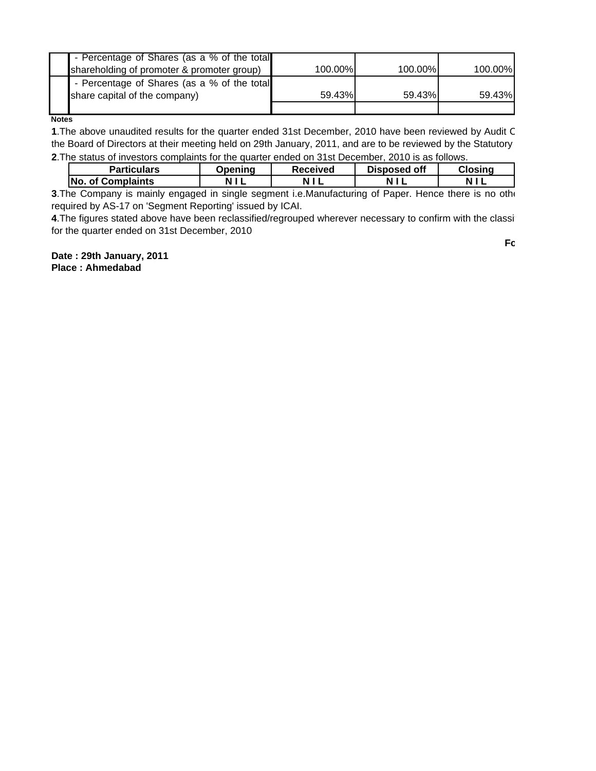| - Percentage of Shares (as a % of the total |         |         |         |
|---------------------------------------------|---------|---------|---------|
| shareholding of promoter & promoter group)  | 100.00% | 100.00% | 100.00% |
| - Percentage of Shares (as a % of the total |         |         |         |
| share capital of the company)               | 59.43%  | 59.43%  | 59.43%  |
|                                             |         |         |         |

**Notes**

**1**.The above unaudited results for the quarter ended 31st December, 2010 have been reviewed by Audit C the Board of Directors at their meeting held on 29th January, 2011, and are to be reviewed by the Statutory **2**.The status of investors complaints for the quarter ended on 31st December, 2010 is as follows.

| <b>Particulars</b>       | <b>Dpenina</b> | <b>Received</b> | Disposed off | Closina |
|--------------------------|----------------|-----------------|--------------|---------|
| <b>No. of Complaints</b> |                |                 |              |         |

**3**.The Company is mainly engaged in single segment i.e.Manufacturing of Paper. Hence there is no othe required by AS-17 on 'Segment Reporting' issued by ICAI.

**4**.The figures stated above have been reclassified/regrouped wherever necessary to confirm with the classif for the quarter ended on 31st December, 2010

**Date : 29th January, 2011 Place : Ahmedabad**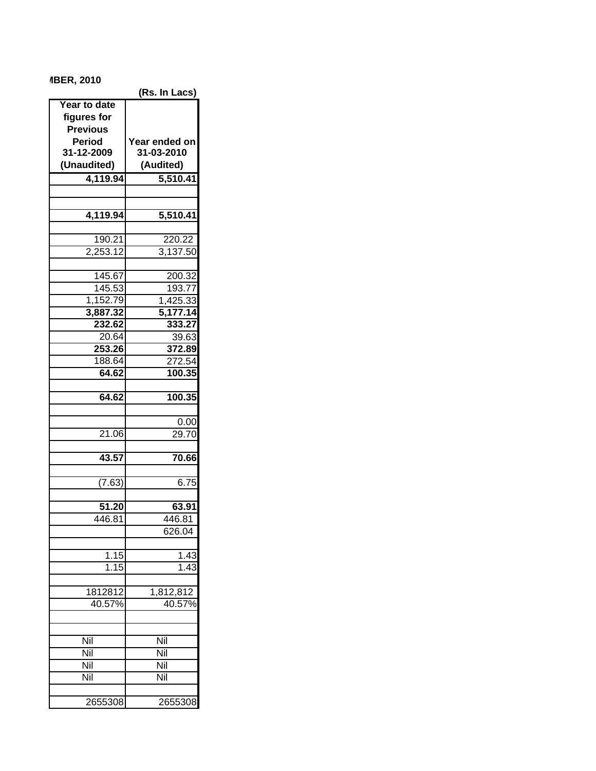## **MBER, 2010**

| 11 DER, ZVIV    |                       |
|-----------------|-----------------------|
|                 | (Rs. In Lacs)         |
| Year to date    |                       |
| figures for     |                       |
| <b>Previous</b> |                       |
| <b>Period</b>   | Year ended on         |
| 31-12-2009      | 31-03-2010            |
| (Unaudited)     | (Audited)             |
| 4,119.94        | 5,510.41              |
|                 |                       |
|                 |                       |
| 4,119.94        | $5,510.\overline{41}$ |
|                 |                       |
|                 |                       |
| 190.21          | 220.22                |
| 2,253.12        | 3,137.50              |
|                 |                       |
| 145.67          | 200.32                |
| 145.53          | 193.77                |
| 1,152.79        | 1,425.33              |
| 3,887.32        | 5,177.14              |
| 232.62          | 333.27                |
| 20.64           | 39.63                 |
| 253.26          | 372.89                |
| 188.64          | 272.54                |
| 64.62           | 100.35                |
|                 |                       |
| 64.62           | 100.35                |
|                 |                       |
|                 | 0.00                  |
| 21.06           | 29.70                 |
|                 |                       |
| 43.57           | 70.66                 |
|                 |                       |
|                 |                       |
| (7.63)          | 6.75                  |
| 51.20           | 63.91                 |
|                 |                       |
| 446.81          | 446.81                |
|                 | 626.04                |
|                 |                       |
| 1.15            | <u>1.43</u>           |
| 1.15            | 1.43                  |
|                 |                       |
| 1812812         | 1,812,812             |
| 40.57%          | 40.57%                |
|                 |                       |
|                 |                       |
| Nil             | Nil                   |
| Nil             | Nil                   |
| Nil             | Nil                   |
| Nil             | Nil                   |
|                 |                       |
|                 |                       |
| 2655308         | 2655308               |